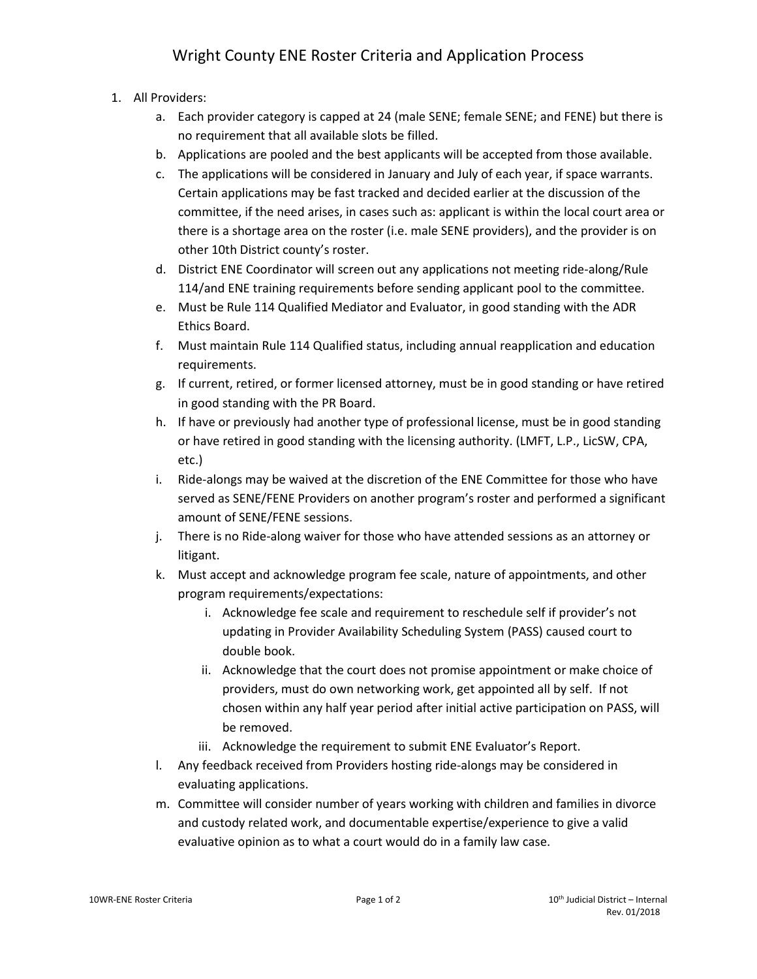## Wright County ENE Roster Criteria and Application Process

## 1. All Providers:

- a. Each provider category is capped at 24 (male SENE; female SENE; and FENE) but there is no requirement that all available slots be filled.
- b. Applications are pooled and the best applicants will be accepted from those available.
- c. The applications will be considered in January and July of each year, if space warrants. Certain applications may be fast tracked and decided earlier at the discussion of the committee, if the need arises, in cases such as: applicant is within the local court area or there is a shortage area on the roster (i.e. male SENE providers), and the provider is on other 10th District county's roster.
- d. District ENE Coordinator will screen out any applications not meeting ride-along/Rule 114/and ENE training requirements before sending applicant pool to the committee.
- e. Must be Rule 114 Qualified Mediator and Evaluator, in good standing with the ADR Ethics Board.
- f. Must maintain Rule 114 Qualified status, including annual reapplication and education requirements.
- g. If current, retired, or former licensed attorney, must be in good standing or have retired in good standing with the PR Board.
- h. If have or previously had another type of professional license, must be in good standing or have retired in good standing with the licensing authority. (LMFT, L.P., LicSW, CPA, etc.)
- i. Ride-alongs may be waived at the discretion of the ENE Committee for those who have served as SENE/FENE Providers on another program's roster and performed a significant amount of SENE/FENE sessions.
- j. There is no Ride-along waiver for those who have attended sessions as an attorney or litigant.
- k. Must accept and acknowledge program fee scale, nature of appointments, and other program requirements/expectations:
	- i. Acknowledge fee scale and requirement to reschedule self if provider's not updating in Provider Availability Scheduling System (PASS) caused court to double book.
	- ii. Acknowledge that the court does not promise appointment or make choice of providers, must do own networking work, get appointed all by self. If not chosen within any half year period after initial active participation on PASS, will be removed.
	- iii. Acknowledge the requirement to submit ENE Evaluator's Report.
- l. Any feedback received from Providers hosting ride-alongs may be considered in evaluating applications.
- m. Committee will consider number of years working with children and families in divorce and custody related work, and documentable expertise/experience to give a valid evaluative opinion as to what a court would do in a family law case.